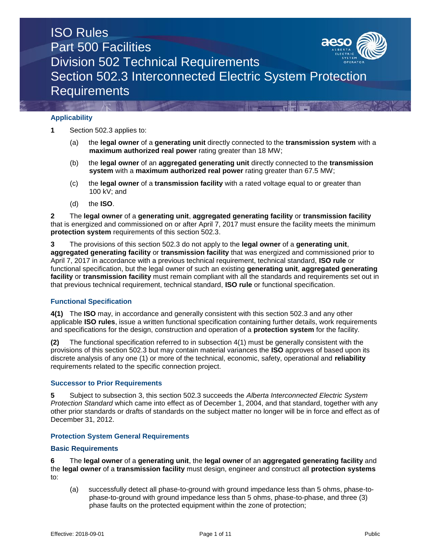## **Applicability**

**1** Section 502.3 applies to:

- (a) the **legal owner** of a **generating unit** directly connected to the **transmission system** with a **maximum authorized real power** rating greater than 18 MW;
- (b) the **legal owner** of an **aggregated generating unit** directly connected to the **transmission system** with a **maximum authorized real power** rating greater than 67.5 MW;
- (c) the **legal owner** of a **transmission facility** with a rated voltage equal to or greater than 100 kV; and
- (d) the **ISO**.

**2** The **legal owner** of a **generating unit**, **aggregated generating facility** or **transmission facility** that is energized and commissioned on or after April 7, 2017 must ensure the facility meets the minimum **protection system** requirements of this section 502.3.

**3** The provisions of this section 502.3 do not apply to the **legal owner** of a **generating unit**, **aggregated generating facility** or **transmission facility** that was energized and commissioned prior to April 7, 2017 in accordance with a previous technical requirement, technical standard, **ISO rule** or functional specification, but the legal owner of such an existing **generating unit**, **aggregated generating facility** or **transmission facility** must remain compliant with all the standards and requirements set out in that previous technical requirement, technical standard, **ISO rule** or functional specification.

## **Functional Specification**

**4(1)** The **ISO** may, in accordance and generally consistent with this section 502.3 and any other applicable **ISO rules**, issue a written functional specification containing further details, work requirements and specifications for the design, construction and operation of a **protection system** for the facility.

**(2)** The functional specification referred to in subsection 4(1) must be generally consistent with the provisions of this section 502.3 but may contain material variances the **ISO** approves of based upon its discrete analysis of any one (1) or more of the technical, economic, safety, operational and **reliability** requirements related to the specific connection project.

## **Successor to Prior Requirements**

**5** Subject to subsection 3, this section 502.3 succeeds the *Alberta Interconnected Electric System Protection Standard* which came into effect as of December 1, 2004, and that standard, together with any other prior standards or drafts of standards on the subject matter no longer will be in force and effect as of December 31, 2012.

## **Protection System General Requirements**

## **Basic Requirements**

**6** The **legal owner** of a **generating unit**, the **legal owner** of an **aggregated generating facility** and the **legal owner** of a **transmission facility** must design, engineer and construct all **protection systems**  to:

(a) successfully detect all phase-to-ground with ground impedance less than 5 ohms, phase-tophase-to-ground with ground impedance less than 5 ohms, phase-to-phase, and three (3) phase faults on the protected equipment within the zone of protection;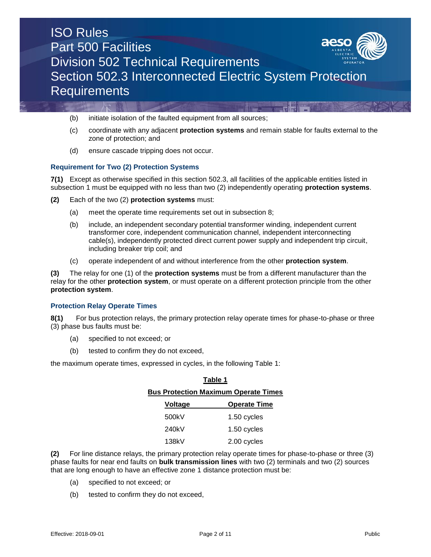

- (b) initiate isolation of the faulted equipment from all sources;
- (c) coordinate with any adjacent **protection systems** and remain stable for faults external to the zone of protection; and
- (d) ensure cascade tripping does not occur.

## **Requirement for Two (2) Protection Systems**

**7(1)** Except as otherwise specified in this section 502.3, all facilities of the applicable entities listed in subsection 1 must be equipped with no less than two (2) independently operating **protection systems**.

- **(2)** Each of the two (2) **protection systems** must:
	- (a) meet the operate time requirements set out in subsection 8;
	- (b) include, an independent secondary potential transformer winding, independent current transformer core, independent communication channel, independent interconnecting cable(s), independently protected direct current power supply and independent trip circuit, including breaker trip coil; and
	- (c) operate independent of and without interference from the other **protection system**.

**(3)** The relay for one (1) of the **protection systems** must be from a different manufacturer than the relay for the other **protection system**, or must operate on a different protection principle from the other **protection system**.

## **Protection Relay Operate Times**

**8(1)** For bus protection relays, the primary protection relay operate times for phase-to-phase or three (3) phase bus faults must be:

- (a) specified to not exceed; or
- (b) tested to confirm they do not exceed,

the maximum operate times, expressed in cycles, in the following Table 1:

| Table 1                                     |                     |  |  |
|---------------------------------------------|---------------------|--|--|
| <b>Bus Protection Maximum Operate Times</b> |                     |  |  |
| Voltage                                     | <b>Operate Time</b> |  |  |
| 500kV                                       | 1.50 cycles         |  |  |
| 240kV                                       | 1.50 cycles         |  |  |
| 138kV                                       | 2.00 cycles         |  |  |

**(2)** For line distance relays, the primary protection relay operate times for phase-to-phase or three (3) phase faults for near end faults on **bulk transmission lines** with two (2) terminals and two (2) sources that are long enough to have an effective zone 1 distance protection must be:

- (a) specified to not exceed; or
- (b) tested to confirm they do not exceed,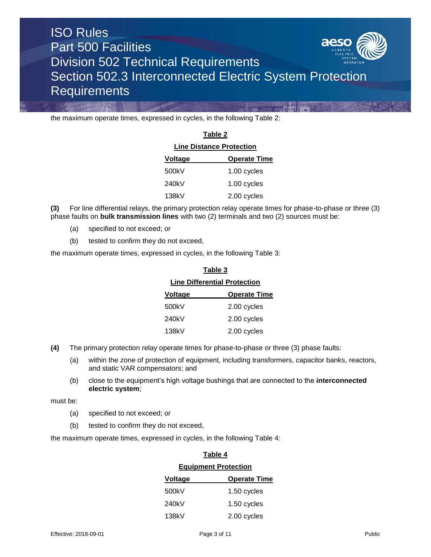

the maximum operate times, expressed in cycles, in the following Table 2:

| Table 2<br><b>Line Distance Protection</b> |             |  |
|--------------------------------------------|-------------|--|
|                                            |             |  |
| 500kV                                      | 1.00 cycles |  |
| 240kV                                      | 1.00 cycles |  |
| 138kV                                      | 2.00 cycles |  |

**(3)** For line differential relays, the primary protection relay operate times for phase-to-phase or three (3) phase faults on **bulk transmission lines** with two (2) terminals and two (2) sources must be:

- (a) specified to not exceed; or
- (b) tested to confirm they do not exceed,

the maximum operate times, expressed in cycles, in the following Table 3:

| Table 3                             |                     |  |
|-------------------------------------|---------------------|--|
| <b>Line Differential Protection</b> |                     |  |
| <b>Voltage</b>                      | <b>Operate Time</b> |  |
| 500kV                               | 2.00 cycles         |  |
| 240kV                               | 2.00 cycles         |  |
| 138kV                               | 2.00 cycles         |  |
|                                     |                     |  |

- **(4)** The primary protection relay operate times for phase-to-phase or three (3) phase faults:
	- (a) within the zone of protection of equipment, including transformers, capacitor banks, reactors, and static VAR compensators; and
	- (b) close to the equipment's high voltage bushings that are connected to the **interconnected electric system**;

must be:

- (a) specified to not exceed; or
- (b) tested to confirm they do not exceed,

the maximum operate times, expressed in cycles, in the following Table 4:

| l able 4                    |                     |  |
|-----------------------------|---------------------|--|
| <b>Equipment Protection</b> |                     |  |
| <b>Voltage</b>              | <b>Operate Time</b> |  |
| 500kV                       | 1.50 cycles         |  |
| 240kV                       | 1.50 cycles         |  |
| 138kV                       | 2.00 cycles         |  |

**Table 4**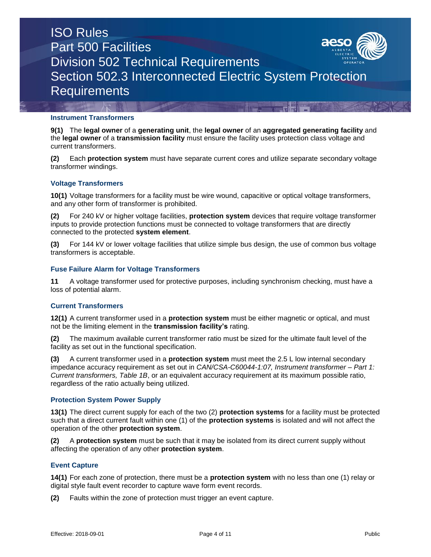

## **Instrument Transformers**

**9(1)** The **legal owner** of a **generating unit**, the **legal owner** of an **aggregated generating facility** and the **legal owner** of a **transmission facility** must ensure the facility uses protection class voltage and current transformers.

**(2)** Each **protection system** must have separate current cores and utilize separate secondary voltage transformer windings.

## **Voltage Transformers**

**10(1)** Voltage transformers for a facility must be wire wound, capacitive or optical voltage transformers, and any other form of transformer is prohibited.

**(2)** For 240 kV or higher voltage facilities, **protection system** devices that require voltage transformer inputs to provide protection functions must be connected to voltage transformers that are directly connected to the protected **system element**.

**(3)** For 144 kV or lower voltage facilities that utilize simple bus design, the use of common bus voltage transformers is acceptable.

## **Fuse Failure Alarm for Voltage Transformers**

**11** A voltage transformer used for protective purposes, including synchronism checking, must have a loss of potential alarm.

## **Current Transformers**

**12(1)** A current transformer used in a **protection system** must be either magnetic or optical, and must not be the limiting element in the **transmission facility's** rating.

**(2)** The maximum available current transformer ratio must be sized for the ultimate fault level of the facility as set out in the functional specification.

**(3)** A current transformer used in a **protection system** must meet the 2.5 L low internal secondary impedance accuracy requirement as set out in *CAN/CSA-C60044-1:07, Instrument transformer – Part 1: Current transformers, Table 1B*, or an equivalent accuracy requirement at its maximum possible ratio, regardless of the ratio actually being utilized.

## **Protection System Power Supply**

**13(1)** The direct current supply for each of the two (2) **protection systems** for a facility must be protected such that a direct current fault within one (1) of the **protection systems** is isolated and will not affect the operation of the other **protection system**.

**(2)** A **protection system** must be such that it may be isolated from its direct current supply without affecting the operation of any other **protection system**.

## **Event Capture**

**14(1)** For each zone of protection, there must be a **protection system** with no less than one (1) relay or digital style fault event recorder to capture wave form event records.

**(2)** Faults within the zone of protection must trigger an event capture.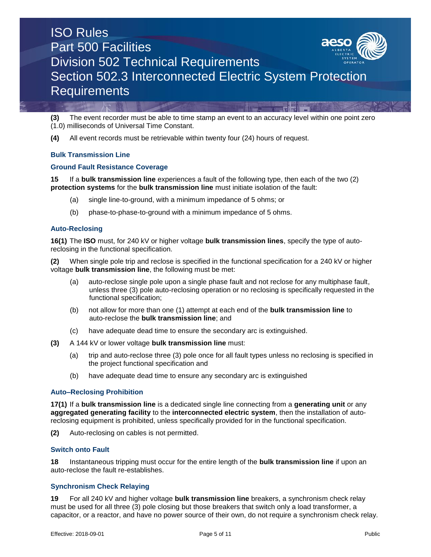

**(3)** The event recorder must be able to time stamp an event to an accuracy level within one point zero (1.0) milliseconds of Universal Time Constant.

**(4)** All event records must be retrievable within twenty four (24) hours of request.

## **Bulk Transmission Line**

#### **Ground Fault Resistance Coverage**

**15** If a **bulk transmission line** experiences a fault of the following type, then each of the two (2) **protection systems** for the **bulk transmission line** must initiate isolation of the fault:

- (a) single line-to-ground, with a minimum impedance of 5 ohms; or
- (b) phase-to-phase-to-ground with a minimum impedance of 5 ohms.

#### **Auto-Reclosing**

**16(1)** The **ISO** must, for 240 kV or higher voltage **bulk transmission lines**, specify the type of autoreclosing in the functional specification.

**(2)** When single pole trip and reclose is specified in the functional specification for a 240 kV or higher voltage **bulk transmission line**, the following must be met:

- (a) auto-reclose single pole upon a single phase fault and not reclose for any multiphase fault, unless three (3) pole auto-reclosing operation or no reclosing is specifically requested in the functional specification;
- (b) not allow for more than one (1) attempt at each end of the **bulk transmission line** to auto-reclose the **bulk transmission line**; and
- (c) have adequate dead time to ensure the secondary arc is extinguished.
- **(3)** A 144 kV or lower voltage **bulk transmission line** must:
	- (a) trip and auto-reclose three (3) pole once for all fault types unless no reclosing is specified in the project functional specification and
	- (b) have adequate dead time to ensure any secondary arc is extinguished

#### **Auto–Reclosing Prohibition**

**17(1)** If a **bulk transmission line** is a dedicated single line connecting from a **generating unit** or any **aggregated generating facility** to the **interconnected electric system**, then the installation of autoreclosing equipment is prohibited, unless specifically provided for in the functional specification.

**(2)** Auto-reclosing on cables is not permitted.

#### **Switch onto Fault**

**18** Instantaneous tripping must occur for the entire length of the **bulk transmission line** if upon an auto-reclose the fault re-establishes.

## **Synchronism Check Relaying**

**19** For all 240 kV and higher voltage **bulk transmission line** breakers, a synchronism check relay must be used for all three (3) pole closing but those breakers that switch only a load transformer, a capacitor, or a reactor, and have no power source of their own, do not require a synchronism check relay.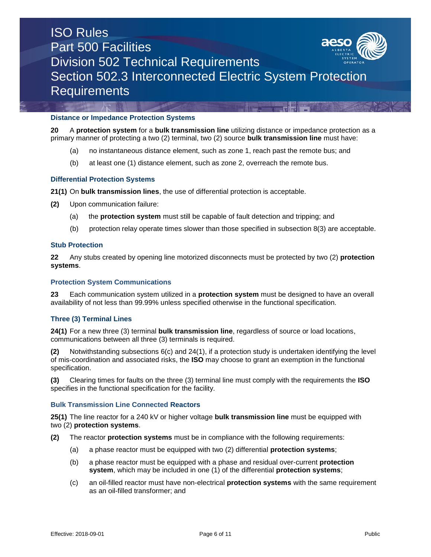

#### **Distance or Impedance Protection Systems**

**20** A **protection system** for a **bulk transmission line** utilizing distance or impedance protection as a primary manner of protecting a two (2) terminal, two (2) source **bulk transmission line** must have:

- (a) no instantaneous distance element, such as zone 1, reach past the remote bus; and
- (b) at least one (1) distance element, such as zone 2, overreach the remote bus.

#### **Differential Protection Systems**

**21(1)** On **bulk transmission lines**, the use of differential protection is acceptable.

- **(2)** Upon communication failure:
	- (a) the **protection system** must still be capable of fault detection and tripping; and
	- (b) protection relay operate times slower than those specified in subsection 8(3) are acceptable.

#### **Stub Protection**

**22** Any stubs created by opening line motorized disconnects must be protected by two (2) **protection systems**.

#### **Protection System Communications**

**23** Each communication system utilized in a **protection system** must be designed to have an overall availability of not less than 99.99% unless specified otherwise in the functional specification.

## **Three (3) Terminal Lines**

**24(1)** For a new three (3) terminal **bulk transmission line**, regardless of source or load locations, communications between all three (3) terminals is required.

**(2)** Notwithstanding subsections 6(c) and 24(1), if a protection study is undertaken identifying the level of mis-coordination and associated risks, the **ISO** may choose to grant an exemption in the functional specification.

**(3)** Clearing times for faults on the three (3) terminal line must comply with the requirements the **ISO** specifies in the functional specification for the facility.

#### **Bulk Transmission Line Connected Reactors**

**25(1)** The line reactor for a 240 kV or higher voltage **bulk transmission line** must be equipped with two (2) **protection systems**.

- **(2)** The reactor **protection systems** must be in compliance with the following requirements:
	- (a) a phase reactor must be equipped with two (2) differential **protection systems**;
	- (b) a phase reactor must be equipped with a phase and residual over-current **protection system**, which may be included in one (1) of the differential **protection systems**;
	- (c) an oil-filled reactor must have non-electrical **protection systems** with the same requirement as an oil-filled transformer; and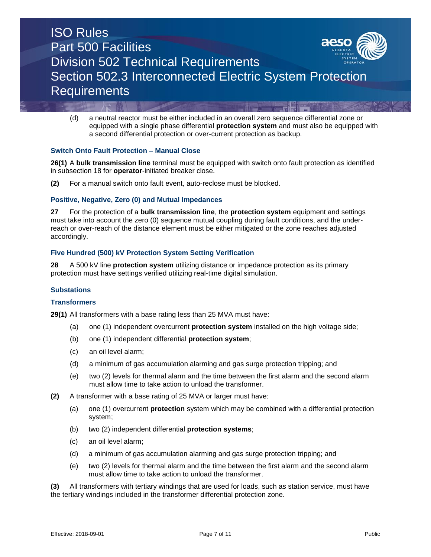

(d) a neutral reactor must be either included in an overall zero sequence differential zone or equipped with a single phase differential **protection system** and must also be equipped with a second differential protection or over-current protection as backup.

## **Switch Onto Fault Protection – Manual Close**

**26(1)** A **bulk transmission line** terminal must be equipped with switch onto fault protection as identified in subsection 18 for **operator**-initiated breaker close.

**(2)** For a manual switch onto fault event, auto-reclose must be blocked.

#### **Positive, Negative, Zero (0) and Mutual Impedances**

**27** For the protection of a **bulk transmission line**, the **protection system** equipment and settings must take into account the zero (0) sequence mutual coupling during fault conditions, and the underreach or over-reach of the distance element must be either mitigated or the zone reaches adjusted accordingly.

#### **Five Hundred (500) kV Protection System Setting Verification**

**28** A 500 kV line **protection system** utilizing distance or impedance protection as its primary protection must have settings verified utilizing real-time digital simulation.

#### **Substations**

#### **Transformers**

**29(1)** All transformers with a base rating less than 25 MVA must have:

- (a) one (1) independent overcurrent **protection system** installed on the high voltage side;
- (b) one (1) independent differential **protection system**;
- (c) an oil level alarm;
- (d) a minimum of gas accumulation alarming and gas surge protection tripping; and
- (e) two (2) levels for thermal alarm and the time between the first alarm and the second alarm must allow time to take action to unload the transformer.
- **(2)** A transformer with a base rating of 25 MVA or larger must have:
	- (a) one (1) overcurrent **protection** system which may be combined with a differential protection system;
	- (b) two (2) independent differential **protection systems**;
	- (c) an oil level alarm;
	- (d) a minimum of gas accumulation alarming and gas surge protection tripping; and
	- (e) two (2) levels for thermal alarm and the time between the first alarm and the second alarm must allow time to take action to unload the transformer.

**(3)** All transformers with tertiary windings that are used for loads, such as station service, must have the tertiary windings included in the transformer differential protection zone.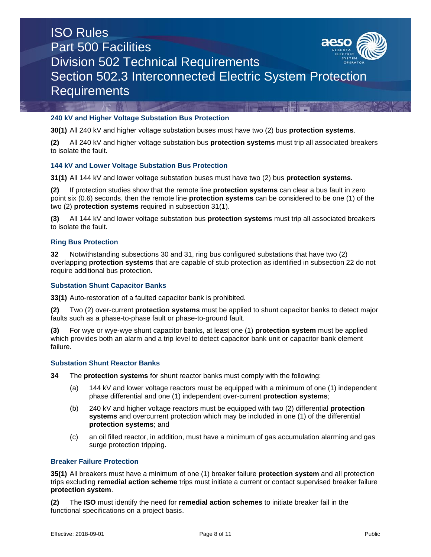

## **240 kV and Higher Voltage Substation Bus Protection**

**30(1)** All 240 kV and higher voltage substation buses must have two (2) bus **protection systems**.

**(2)** All 240 kV and higher voltage substation bus **protection systems** must trip all associated breakers to isolate the fault.

## **144 kV and Lower Voltage Substation Bus Protection**

**31(1)** All 144 kV and lower voltage substation buses must have two (2) bus **protection systems.**

**(2)** If protection studies show that the remote line **protection systems** can clear a bus fault in zero point six (0.6) seconds, then the remote line **protection systems** can be considered to be one (1) of the two (2) **protection systems** required in subsection 31(1).

**(3)** All 144 kV and lower voltage substation bus **protection systems** must trip all associated breakers to isolate the fault.

#### **Ring Bus Protection**

**32** Notwithstanding subsections 30 and 31, ring bus configured substations that have two (2) overlapping **protection systems** that are capable of stub protection as identified in subsection 22 do not require additional bus protection.

## **Substation Shunt Capacitor Banks**

**33(1)** Auto-restoration of a faulted capacitor bank is prohibited.

**(2)** Two (2) over-current **protection systems** must be applied to shunt capacitor banks to detect major faults such as a phase-to-phase fault or phase-to-ground fault.

**(3)** For wye or wye-wye shunt capacitor banks, at least one (1) **protection system** must be applied which provides both an alarm and a trip level to detect capacitor bank unit or capacitor bank element failure.

## **Substation Shunt Reactor Banks**

**34** The **protection systems** for shunt reactor banks must comply with the following:

- (a) 144 kV and lower voltage reactors must be equipped with a minimum of one (1) independent phase differential and one (1) independent over-current **protection systems**;
- (b) 240 kV and higher voltage reactors must be equipped with two (2) differential **protection systems** and overcurrent protection which may be included in one (1) of the differential **protection systems**; and
- (c) an oil filled reactor, in addition, must have a minimum of gas accumulation alarming and gas surge protection tripping.

#### **Breaker Failure Protection**

**35(1)** All breakers must have a minimum of one (1) breaker failure **protection system** and all protection trips excluding **remedial action scheme** trips must initiate a current or contact supervised breaker failure **protection system**.

**(2)** The **ISO** must identify the need for **remedial action schemes** to initiate breaker fail in the functional specifications on a project basis.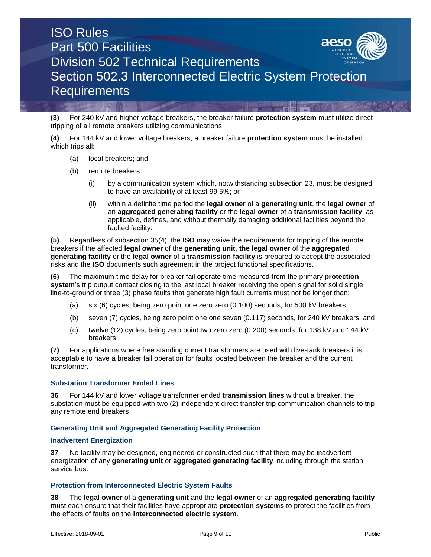

**(3)** For 240 kV and higher voltage breakers, the breaker failure **protection system** must utilize direct tripping of all remote breakers utilizing communications.

**(4)** For 144 kV and lower voltage breakers, a breaker failure **protection system** must be installed which trips all:

- (a) local breakers; and
- (b) remote breakers:
	- (i) by a communication system which, notwithstanding subsection 23, must be designed to have an availability of at least 99.5%; or
	- (ii) within a definite time period the **legal owner** of a **generating unit**, the **legal owner** of an **aggregated generating facility** or the **legal owner** of a **transmission facility**, as applicable, defines, and without thermally damaging additional facilities beyond the faulted facility.

**(5)** Regardless of subsection 35(4), the **ISO** may waive the requirements for tripping of the remote breakers if the affected **legal owner** of the **generating unit**, **the legal owner** of the **aggregated generating facility** or the **legal owner** of a **transmission facility** is prepared to accept the associated risks and the **ISO** documents such agreement in the project functional specifications.

**(6)** The maximum time delay for breaker fail operate time measured from the primary **protection system**'s trip output contact closing to the last local breaker receiving the open signal for solid single line-to-ground or three (3) phase faults that generate high fault currents must not be longer than:

- (a) six (6) cycles, being zero point one zero zero (0.100) seconds, for 500 kV breakers;
- (b) seven (7) cycles, being zero point one one seven (0.117) seconds, for 240 kV breakers; and
- (c) twelve (12) cycles, being zero point two zero zero (0.200) seconds, for 138 kV and 144 kV breakers.

**(7)** For applications where free standing current transformers are used with live-tank breakers it is acceptable to have a breaker fail operation for faults located between the breaker and the current transformer.

#### **Substation Transformer Ended Lines**

**36** For 144 kV and lower voltage transformer ended **transmission lines** without a breaker, the substation must be equipped with two (2) independent direct transfer trip communication channels to trip any remote end breakers.

## **Generating Unit and Aggregated Generating Facility Protection**

#### **Inadvertent Energization**

**37** No facility may be designed, engineered or constructed such that there may be inadvertent energization of any **generating unit** or **aggregated generating facility** including through the station service bus.

#### **Protection from Interconnected Electric System Faults**

**38** The **legal owner** of a **generating unit** and the **legal owner** of an **aggregated generating facility** must each ensure that their facilities have appropriate **protection systems** to protect the facilities from the effects of faults on the **interconnected electric system**.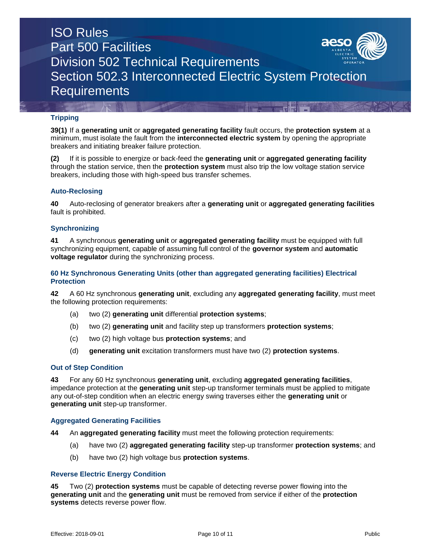

## **Tripping**

**39(1)** If a **generating unit** or **aggregated generating facility** fault occurs, the **protection system** at a minimum, must isolate the fault from the **interconnected electric system** by opening the appropriate breakers and initiating breaker failure protection.

**(2)** If it is possible to energize or back-feed the **generating unit** or **aggregated generating facility** through the station service, then the **protection system** must also trip the low voltage station service breakers, including those with high-speed bus transfer schemes.

#### **Auto-Reclosing**

**40** Auto-reclosing of generator breakers after a **generating unit** or **aggregated generating facilities** fault is prohibited.

#### **Synchronizing**

**41** A synchronous **generating unit** or **aggregated generating facility** must be equipped with full synchronizing equipment, capable of assuming full control of the **governor system** and **automatic voltage regulator** during the synchronizing process.

#### **60 Hz Synchronous Generating Units (other than aggregated generating facilities) Electrical Protection**

**42** A 60 Hz synchronous **generating unit**, excluding any **aggregated generating facility**, must meet the following protection requirements:

- (a) two (2) **generating unit** differential **protection systems**;
- (b) two (2) **generating unit** and facility step up transformers **protection systems**;
- (c) two (2) high voltage bus **protection systems**; and
- (d) **generating unit** excitation transformers must have two (2) **protection systems**.

#### **Out of Step Condition**

**43** For any 60 Hz synchronous **generating unit**, excluding **aggregated generating facilities**, impedance protection at the **generating unit** step-up transformer terminals must be applied to mitigate any out-of-step condition when an electric energy swing traverses either the **generating unit** or **generating unit** step-up transformer.

#### **Aggregated Generating Facilities**

**44** An **aggregated generating facility** must meet the following protection requirements:

- (a) have two (2) **aggregated generating facility** step-up transformer **protection systems**; and
- (b) have two (2) high voltage bus **protection systems**.

#### **Reverse Electric Energy Condition**

**45** Two (2) **protection systems** must be capable of detecting reverse power flowing into the **generating unit** and the **generating unit** must be removed from service if either of the **protection systems** detects reverse power flow.